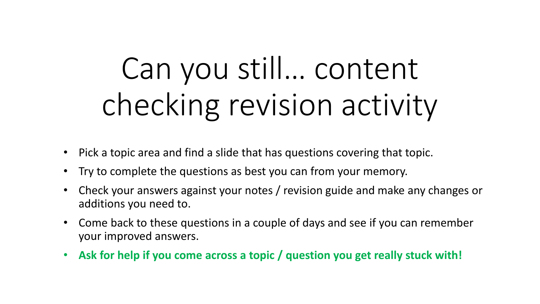# Can you still… content checking revision activity

- Pick a topic area and find a slide that has questions covering that topic.
- Try to complete the questions as best you can from your memory.
- Check your answers against your notes / revision guide and make any changes or additions you need to.
- Come back to these questions in a couple of days and see if you can remember your improved answers.
- **Ask for help if you come across a topic / question you get really stuck with!**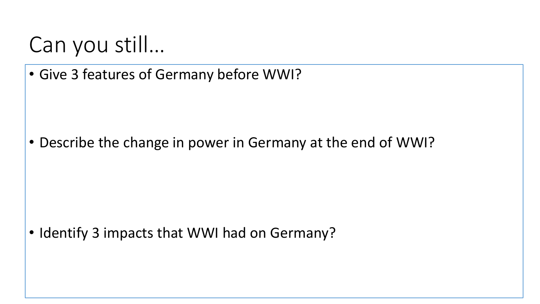• Give 3 features of Germany before WWI?

• Describe the change in power in Germany at the end of WWI?

• Identify 3 impacts that WWI had on Germany?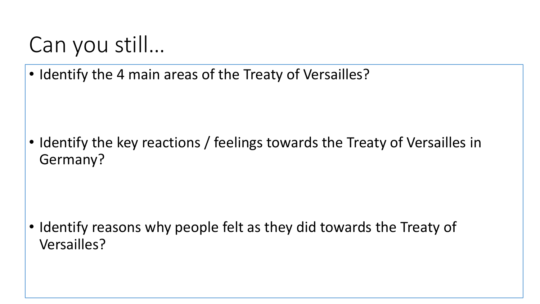• Identify the 4 main areas of the Treaty of Versailles?

• Identify the key reactions / feelings towards the Treaty of Versailles in Germany?

• Identify reasons why people felt as they did towards the Treaty of Versailles?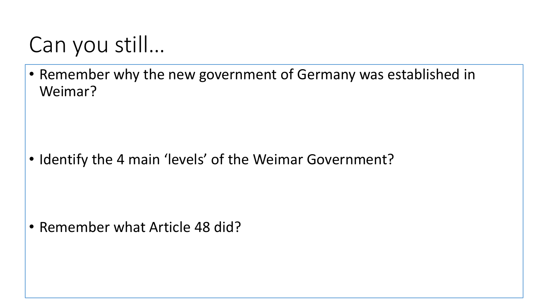• Remember why the new government of Germany was established in Weimar?

• Identify the 4 main 'levels' of the Weimar Government?

• Remember what Article 48 did?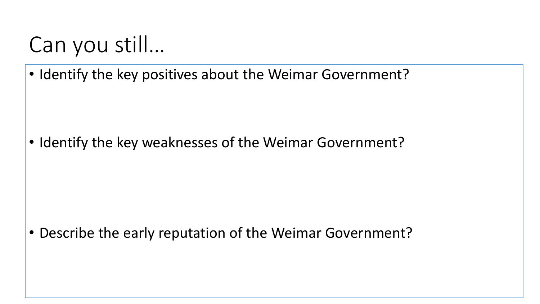• Identify the key positives about the Weimar Government?

• Identify the key weaknesses of the Weimar Government?

• Describe the early reputation of the Weimar Government?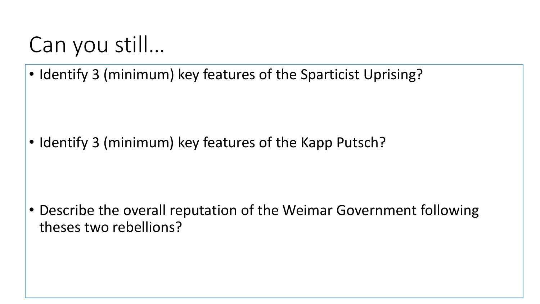• Identify 3 (minimum) key features of the Sparticist Uprising?

• Identify 3 (minimum) key features of the Kapp Putsch?

• Describe the overall reputation of the Weimar Government following theses two rebellions?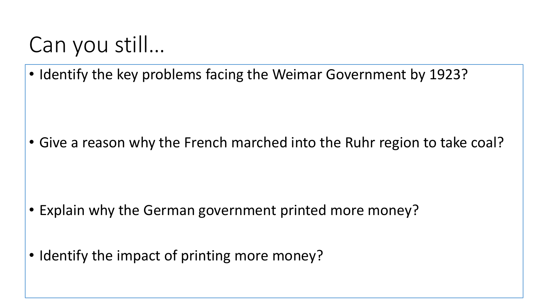• Identify the key problems facing the Weimar Government by 1923?

• Give a reason why the French marched into the Ruhr region to take coal?

- Explain why the German government printed more money?
- Identify the impact of printing more money?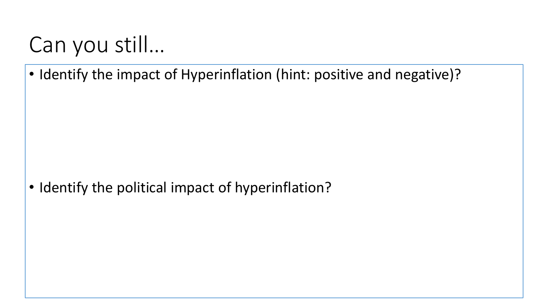• Identify the impact of Hyperinflation (hint: positive and negative)?

• Identify the political impact of hyperinflation?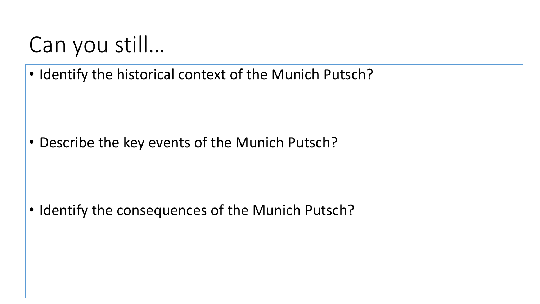• Identify the historical context of the Munich Putsch?

• Describe the key events of the Munich Putsch?

• Identify the consequences of the Munich Putsch?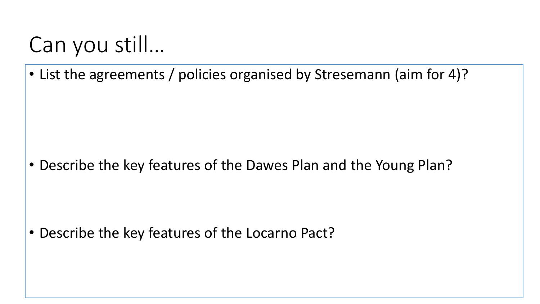• List the agreements / policies organised by Stresemann (aim for 4)?

• Describe the key features of the Dawes Plan and the Young Plan?

• Describe the key features of the Locarno Pact?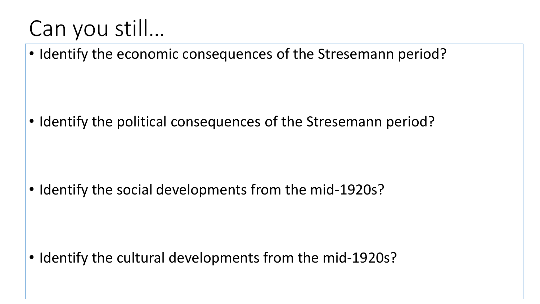• Identify the economic consequences of the Stresemann period?

• Identify the political consequences of the Stresemann period?

• Identify the social developments from the mid-1920s?

• Identify the cultural developments from the mid-1920s?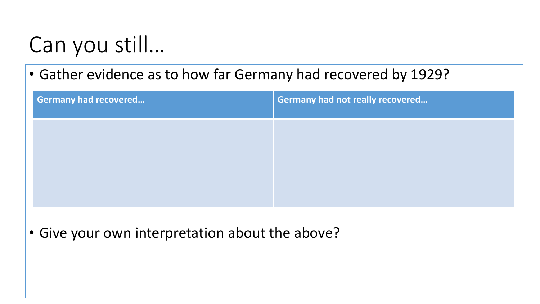• Gather evidence as to how far Germany had recovered by 1929?

| <b>Germany had recovered</b> | Germany had not really recovered |
|------------------------------|----------------------------------|
|                              |                                  |
|                              |                                  |
|                              |                                  |

• Give your own interpretation about the above?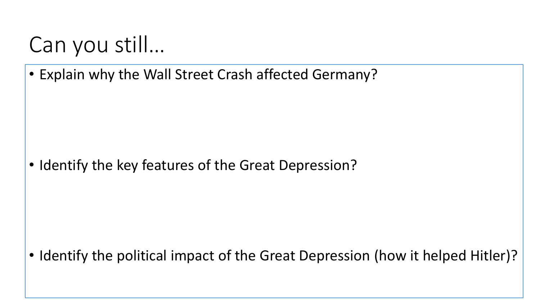• Explain why the Wall Street Crash affected Germany?

• Identify the key features of the Great Depression?

• Identify the political impact of the Great Depression (how it helped Hitler)?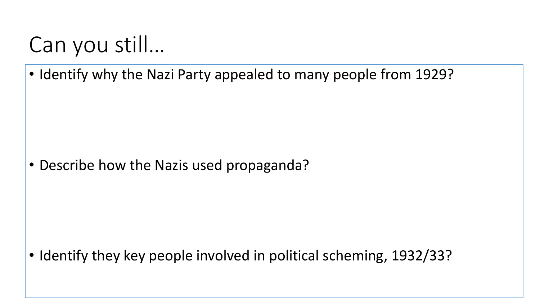• Identify why the Nazi Party appealed to many people from 1929?

• Describe how the Nazis used propaganda?

• Identify they key people involved in political scheming, 1932/33?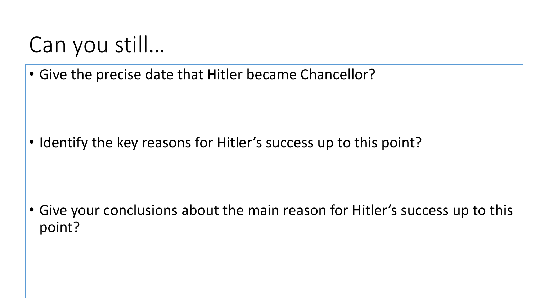• Give the precise date that Hitler became Chancellor?

• Identify the key reasons for Hitler's success up to this point?

• Give your conclusions about the main reason for Hitler's success up to this point?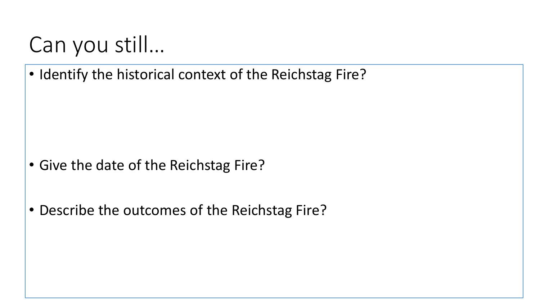• Identify the historical context of the Reichstag Fire?

- Give the date of the Reichstag Fire?
- Describe the outcomes of the Reichstag Fire?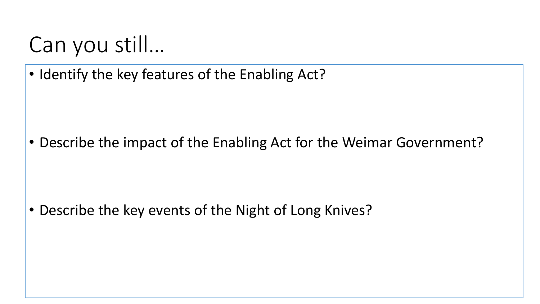• Identify the key features of the Enabling Act?

• Describe the impact of the Enabling Act for the Weimar Government?

• Describe the key events of the Night of Long Knives?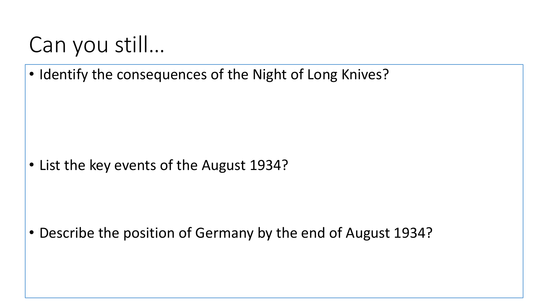• Identify the consequences of the Night of Long Knives?

• List the key events of the August 1934?

• Describe the position of Germany by the end of August 1934?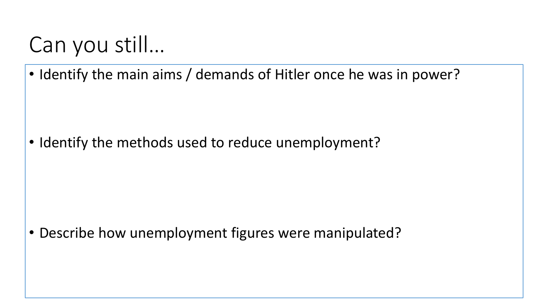• Identify the main aims / demands of Hitler once he was in power?

• Identify the methods used to reduce unemployment?

• Describe how unemployment figures were manipulated?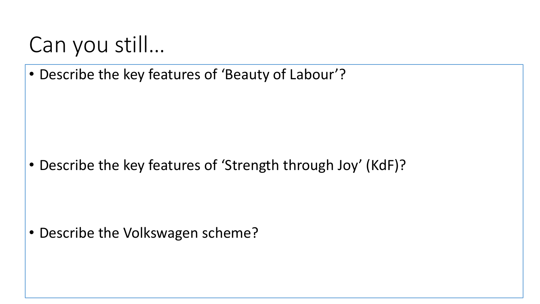• Describe the key features of 'Beauty of Labour'?

• Describe the key features of 'Strength through Joy' (KdF)?

• Describe the Volkswagen scheme?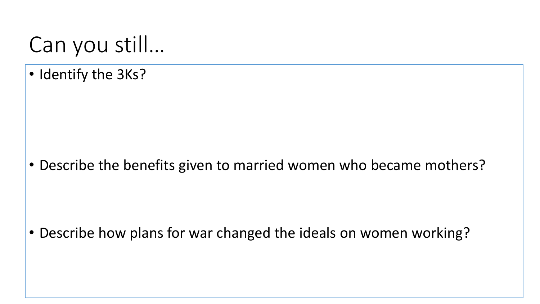• Identify the 3Ks?

• Describe the benefits given to married women who became mothers?

• Describe how plans for war changed the ideals on women working?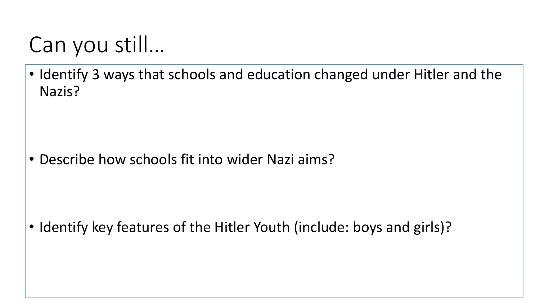• Identify 3 ways that schools and education changed under Hitler and the Nazis?

• Describe how schools fit into wider Nazi aims?

• Identify key features of the Hitler Youth (include: boys and girls)?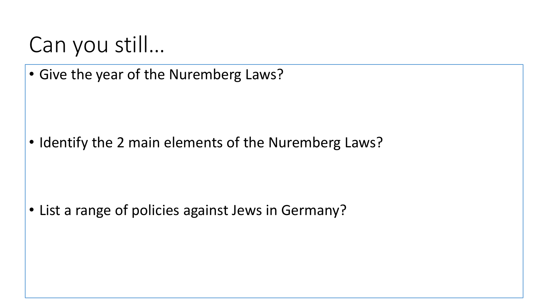• Give the year of the Nuremberg Laws?

• Identify the 2 main elements of the Nuremberg Laws?

• List a range of policies against Jews in Germany?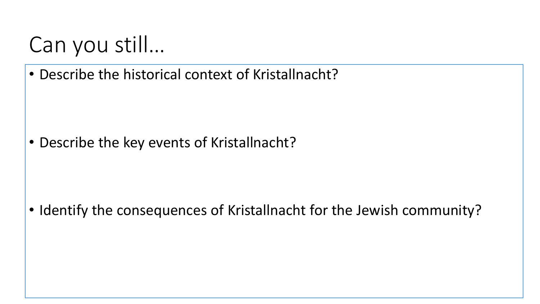• Describe the historical context of Kristallnacht?

• Describe the key events of Kristallnacht?

• Identify the consequences of Kristallnacht for the Jewish community?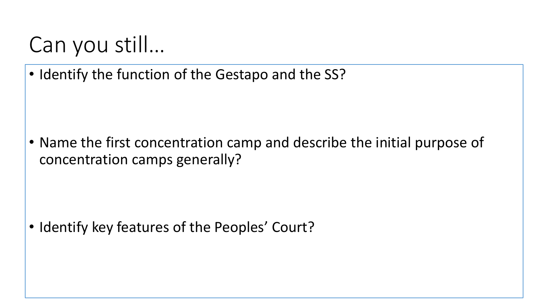• Identify the function of the Gestapo and the SS?

• Name the first concentration camp and describe the initial purpose of concentration camps generally?

• Identify key features of the Peoples' Court?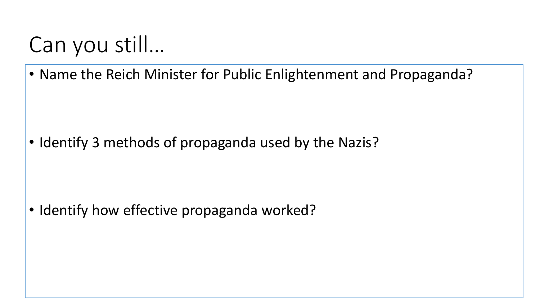• Name the Reich Minister for Public Enlightenment and Propaganda?

• Identify 3 methods of propaganda used by the Nazis?

• Identify how effective propaganda worked?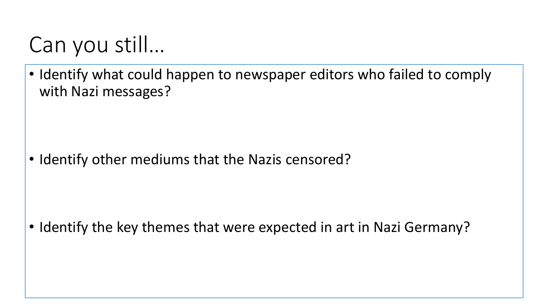• Identify what could happen to newspaper editors who failed to comply with Nazi messages?

• Identify other mediums that the Nazis censored?

• Identify the key themes that were expected in art in Nazi Germany?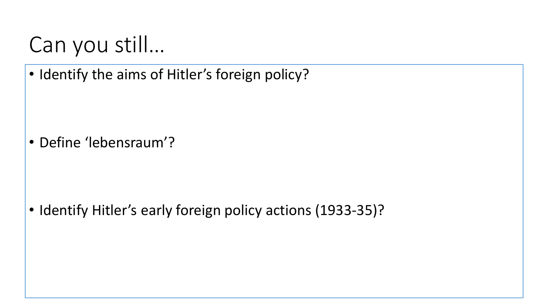• Identify the aims of Hitler's foreign policy?

• Define 'lebensraum'?

• Identify Hitler's early foreign policy actions (1933-35)?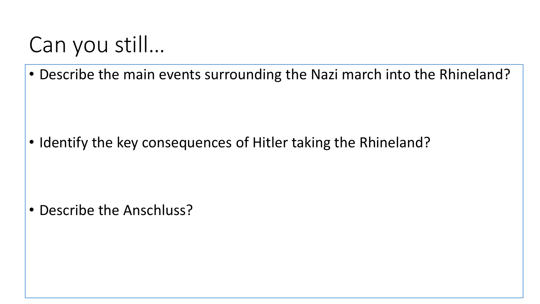• Describe the main events surrounding the Nazi march into the Rhineland?

• Identify the key consequences of Hitler taking the Rhineland?

• Describe the Anschluss?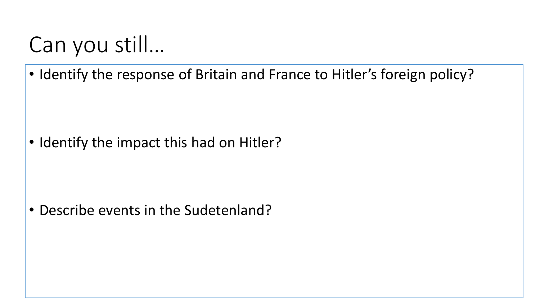• Identify the response of Britain and France to Hitler's foreign policy?

• Identify the impact this had on Hitler?

• Describe events in the Sudetenland?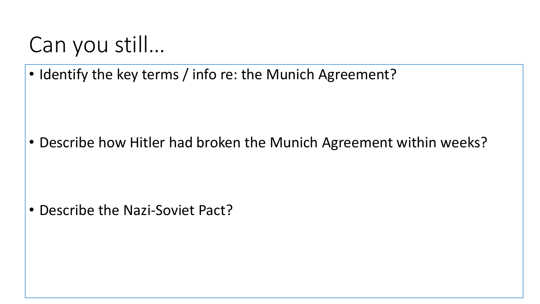• Identify the key terms / info re: the Munich Agreement?

• Describe how Hitler had broken the Munich Agreement within weeks?

• Describe the Nazi-Soviet Pact?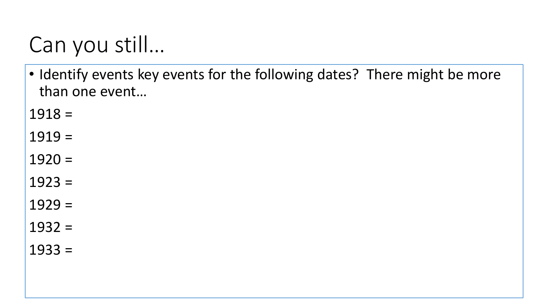• Identify events key events for the following dates? There might be more than one event…

 $1918 =$ 

 $1919 =$ 

 $1920 =$ 

 $1923 =$ 

 $1929 =$ 

 $1932 =$ 

 $1933 =$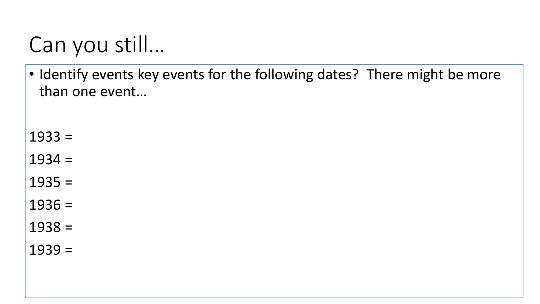• Identify events key events for the following dates? There might be more than one event…

 $1933 =$ 

 $1934 =$ 

 $1935 =$ 

 $1936 =$ 

 $1938 =$ 

 $1939 =$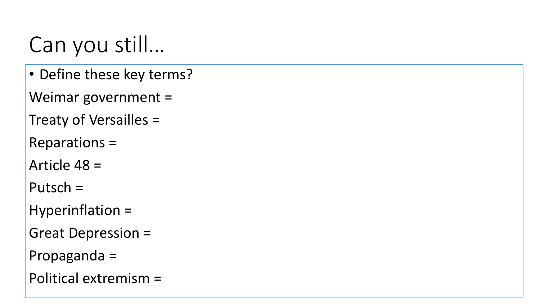• Define these key terms?

Weimar government =

Treaty of Versailles =

Reparations =

Article 48 =

Putsch =

Hyperinflation =

Great Depression =

Propaganda =

Political extremism =